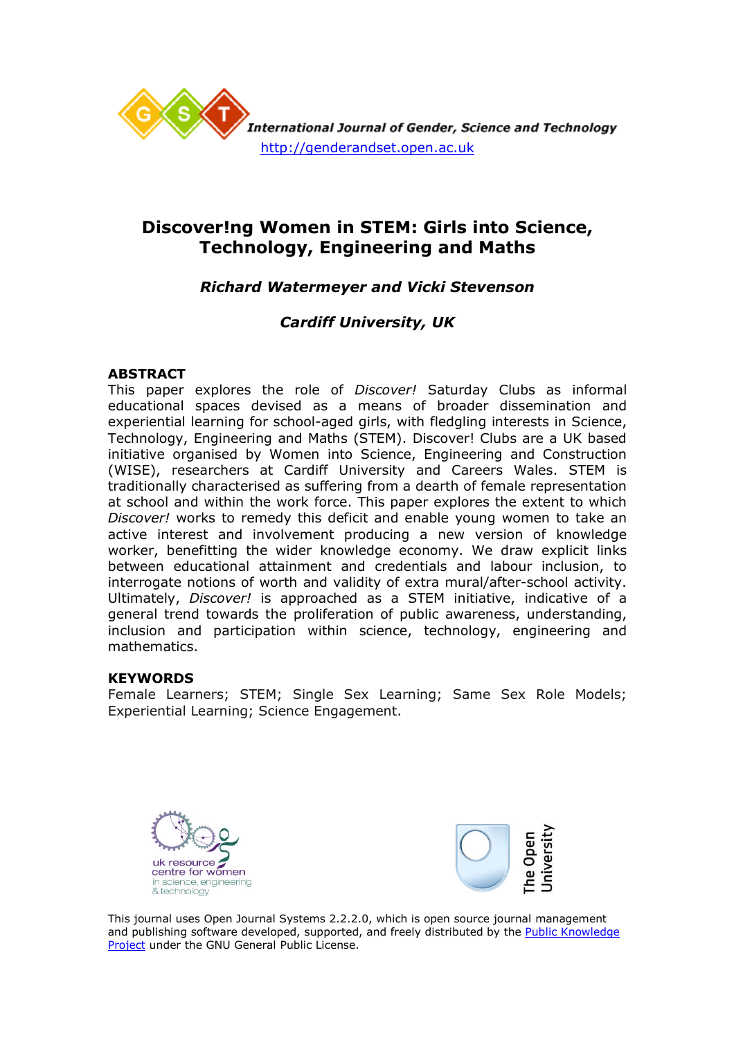

# **Discover!ng Women in STEM: Girls into Science, Technology, Engineering and Maths**

# *Richard Watermeyer and Vicki Stevenson*

# *Cardiff University, UK*

# **ABSTRACT**

This paper explores the role of *Discover!* Saturday Clubs as informal educational spaces devised as a means of broader dissemination and experiential learning for school-aged girls, with fledgling interests in Science, Technology, Engineering and Maths (STEM). Discover! Clubs are a UK based initiative organised by Women into Science, Engineering and Construction (WISE), researchers at Cardiff University and Careers Wales. STEM is traditionally characterised as suffering from a dearth of female representation at school and within the work force. This paper explores the extent to which *Discover!* works to remedy this deficit and enable young women to take an active interest and involvement producing a new version of knowledge worker, benefitting the wider knowledge economy. We draw explicit links between educational attainment and credentials and labour inclusion, to interrogate notions of worth and validity of extra mural/after-school activity. Ultimately, *Discover!* is approached as a STEM initiative, indicative of a general trend towards the proliferation of public awareness, understanding, inclusion and participation within science, technology, engineering and mathematics.

## **KEYWORDS**

Female Learners; STEM; Single Sex Learning; Same Sex Role Models; Experiential Learning; Science Engagement.





This journal uses Open Journal Systems 2.2.2.0, which is open source journal management and publishing software developed, supported, and freely distributed by the Public Knowledge Project under the GNU General Public License.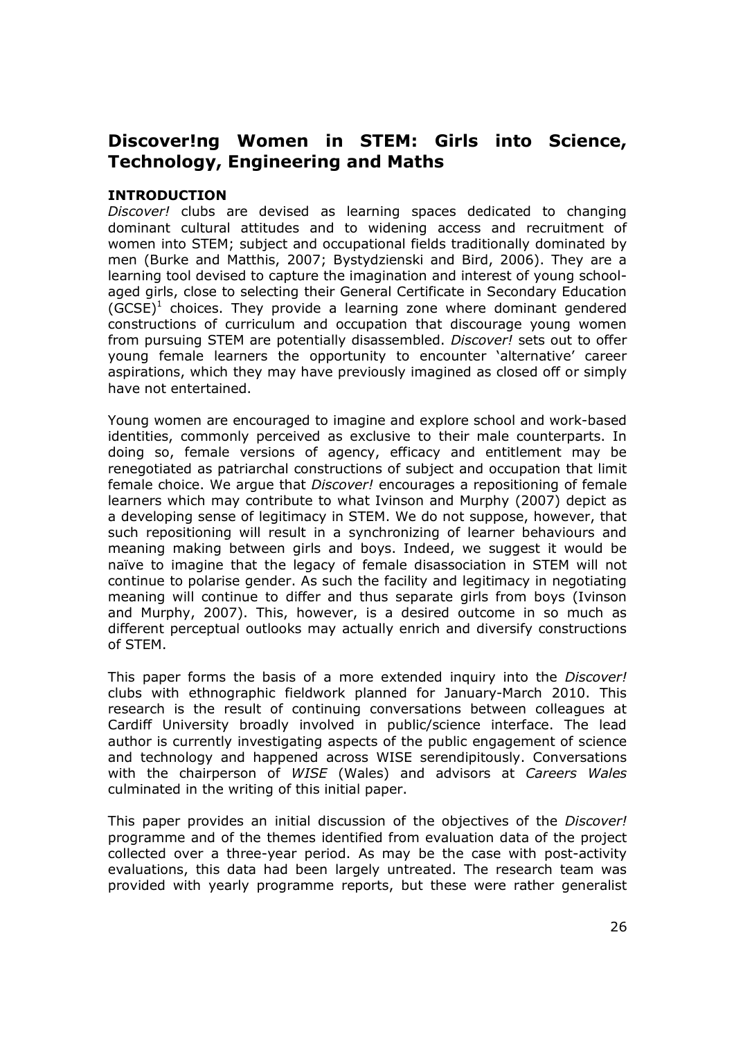# **Discover!ng Women in STEM: Girls into Science, Technology, Engineering and Maths**

# **INTRODUCTION**

*Discover!* clubs are devised as learning spaces dedicated to changing dominant cultural attitudes and to widening access and recruitment of women into STEM; subject and occupational fields traditionally dominated by men (Burke and Matthis, 2007; Bystydzienski and Bird, 2006). They are a learning tool devised to capture the imagination and interest of young schoolaged girls, close to selecting their General Certificate in Secondary Education  $(GCSE)^1$  choices. They provide a learning zone where dominant gendered constructions of curriculum and occupation that discourage young women from pursuing STEM are potentially disassembled. *Discover!* sets out to offer young female learners the opportunity to encounter 'alternative' career aspirations, which they may have previously imagined as closed off or simply have not entertained.

Young women are encouraged to imagine and explore school and work-based identities, commonly perceived as exclusive to their male counterparts. In doing so, female versions of agency, efficacy and entitlement may be renegotiated as patriarchal constructions of subject and occupation that limit female choice. We argue that *Discover!* encourages a repositioning of female learners which may contribute to what Ivinson and Murphy (2007) depict as a developing sense of legitimacy in STEM. We do not suppose, however, that such repositioning will result in a synchronizing of learner behaviours and meaning making between girls and boys. Indeed, we suggest it would be naïve to imagine that the legacy of female disassociation in STEM will not continue to polarise gender. As such the facility and legitimacy in negotiating meaning will continue to differ and thus separate girls from boys (Ivinson and Murphy, 2007). This, however, is a desired outcome in so much as different perceptual outlooks may actually enrich and diversify constructions of STEM.

This paper forms the basis of a more extended inquiry into the *Discover!* clubs with ethnographic fieldwork planned for January-March 2010. This research is the result of continuing conversations between colleagues at Cardiff University broadly involved in public/science interface. The lead author is currently investigating aspects of the public engagement of science and technology and happened across WISE serendipitously. Conversations with the chairperson of *WISE* (Wales) and advisors at *Careers Wales* culminated in the writing of this initial paper.

This paper provides an initial discussion of the objectives of the *Discover!* programme and of the themes identified from evaluation data of the project collected over a three-year period. As may be the case with post-activity evaluations, this data had been largely untreated. The research team was provided with yearly programme reports, but these were rather generalist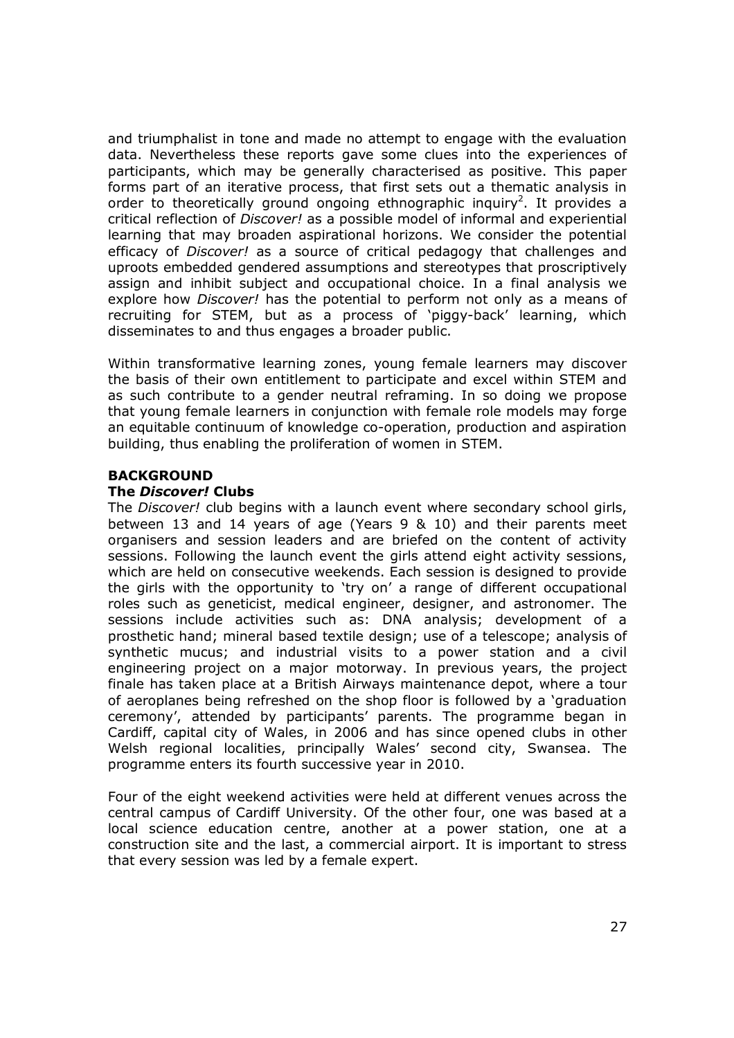and triumphalist in tone and made no attempt to engage with the evaluation data. Nevertheless these reports gave some clues into the experiences of participants, which may be generally characterised as positive. This paper forms part of an iterative process, that first sets out a thematic analysis in order to theoretically ground ongoing ethnographic inquiry<sup>2</sup>. It provides a critical reflection of *Discover!* as a possible model of informal and experiential learning that may broaden aspirational horizons. We consider the potential efficacy of *Discover!* as a source of critical pedagogy that challenges and uproots embedded gendered assumptions and stereotypes that proscriptively assign and inhibit subject and occupational choice. In a final analysis we explore how *Discover!* has the potential to perform not only as a means of recruiting for STEM, but as a process of 'piggy-back' learning, which disseminates to and thus engages a broader public.

Within transformative learning zones, young female learners may discover the basis of their own entitlement to participate and excel within STEM and as such contribute to a gender neutral reframing. In so doing we propose that young female learners in conjunction with female role models may forge an equitable continuum of knowledge co-operation, production and aspiration building, thus enabling the proliferation of women in STEM.

# **BACKGROUND**

#### **The** *Discover!* **Clubs**

The *Discover!* club begins with a launch event where secondary school girls, between 13 and 14 years of age (Years 9 & 10) and their parents meet organisers and session leaders and are briefed on the content of activity sessions. Following the launch event the girls attend eight activity sessions, which are held on consecutive weekends. Each session is designed to provide the girls with the opportunity to 'try on' a range of different occupational roles such as geneticist, medical engineer, designer, and astronomer. The sessions include activities such as: DNA analysis; development of a prosthetic hand; mineral based textile design; use of a telescope; analysis of synthetic mucus; and industrial visits to a power station and a civil engineering project on a major motorway. In previous years, the project finale has taken place at a British Airways maintenance depot, where a tour of aeroplanes being refreshed on the shop floor is followed by a 'graduation ceremony', attended by participants' parents. The programme began in Cardiff, capital city of Wales, in 2006 and has since opened clubs in other Welsh regional localities, principally Wales' second city, Swansea. The programme enters its fourth successive year in 2010.

Four of the eight weekend activities were held at different venues across the central campus of Cardiff University. Of the other four, one was based at a local science education centre, another at a power station, one at a construction site and the last, a commercial airport. It is important to stress that every session was led by a female expert.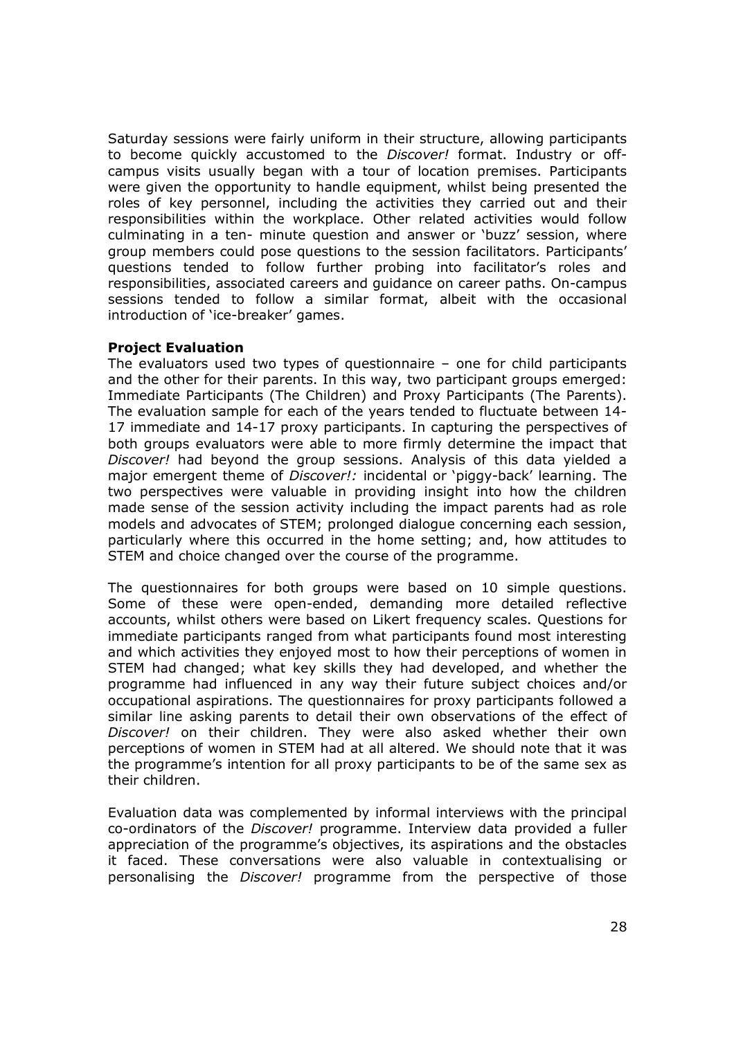Saturday sessions were fairly uniform in their structure, allowing participants to become quickly accustomed to the *Discover!* format. Industry or offcampus visits usually began with a tour of location premises. Participants were given the opportunity to handle equipment, whilst being presented the roles of key personnel, including the activities they carried out and their responsibilities within the workplace. Other related activities would follow culminating in a ten- minute question and answer or 'buzz' session, where group members could pose questions to the session facilitators. Participants' questions tended to follow further probing into facilitator's roles and responsibilities, associated careers and guidance on career paths. On-campus sessions tended to follow a similar format, albeit with the occasional introduction of 'ice-breaker' games.

#### **Project Evaluation**

The evaluators used two types of questionnaire – one for child participants and the other for their parents. In this way, two participant groups emerged: Immediate Participants (The Children) and Proxy Participants (The Parents). The evaluation sample for each of the years tended to fluctuate between 14- 17 immediate and 14-17 proxy participants. In capturing the perspectives of both groups evaluators were able to more firmly determine the impact that *Discover!* had beyond the group sessions. Analysis of this data yielded a major emergent theme of *Discover!:* incidental or 'piggy-back' learning. The two perspectives were valuable in providing insight into how the children made sense of the session activity including the impact parents had as role models and advocates of STEM; prolonged dialogue concerning each session, particularly where this occurred in the home setting; and, how attitudes to STEM and choice changed over the course of the programme.

The questionnaires for both groups were based on 10 simple questions. Some of these were open-ended, demanding more detailed reflective accounts, whilst others were based on Likert frequency scales. Questions for immediate participants ranged from what participants found most interesting and which activities they enjoyed most to how their perceptions of women in STEM had changed; what key skills they had developed, and whether the programme had influenced in any way their future subject choices and/or occupational aspirations. The questionnaires for proxy participants followed a similar line asking parents to detail their own observations of the effect of *Discover!* on their children. They were also asked whether their own perceptions of women in STEM had at all altered. We should note that it was the programme's intention for all proxy participants to be of the same sex as their children.

Evaluation data was complemented by informal interviews with the principal co-ordinators of the *Discover!* programme. Interview data provided a fuller appreciation of the programme's objectives, its aspirations and the obstacles it faced. These conversations were also valuable in contextualising or personalising the *Discover!* programme from the perspective of those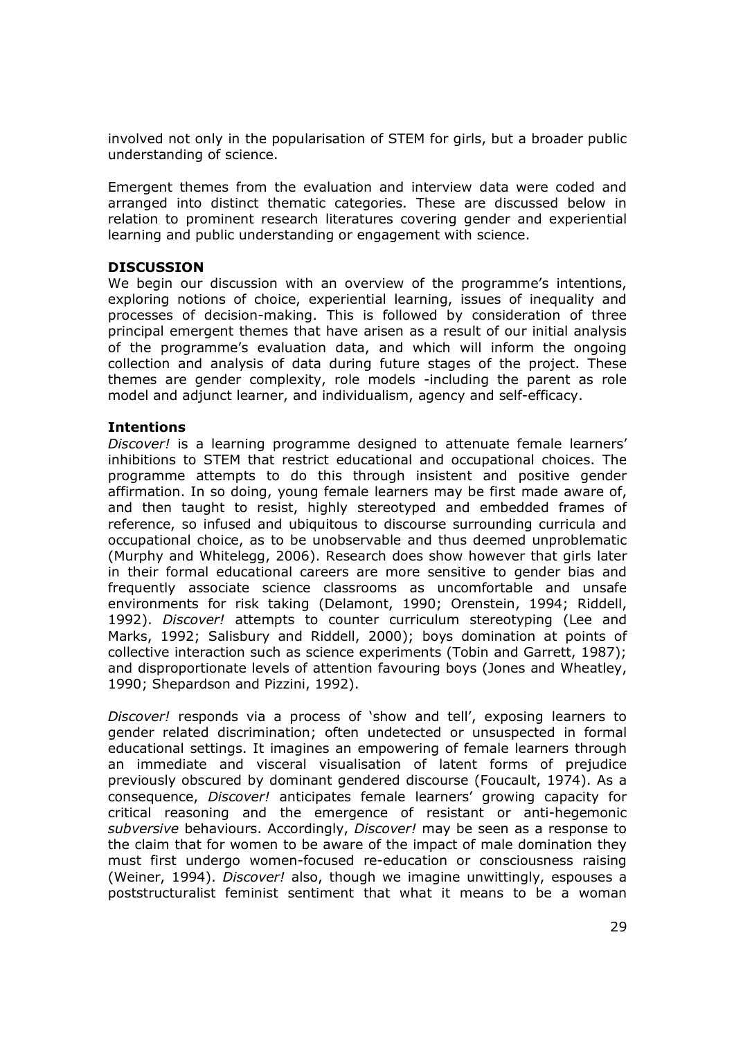involved not only in the popularisation of STEM for girls, but a broader public understanding of science.

Emergent themes from the evaluation and interview data were coded and arranged into distinct thematic categories. These are discussed below in relation to prominent research literatures covering gender and experiential learning and public understanding or engagement with science.

# **DISCUSSION**

We begin our discussion with an overview of the programme's intentions, exploring notions of choice, experiential learning, issues of inequality and processes of decision-making. This is followed by consideration of three principal emergent themes that have arisen as a result of our initial analysis of the programme's evaluation data, and which will inform the ongoing collection and analysis of data during future stages of the project. These themes are gender complexity, role models -including the parent as role model and adjunct learner, and individualism, agency and self-efficacy.

## **Intentions**

*Discover!* is a learning programme designed to attenuate female learners' inhibitions to STEM that restrict educational and occupational choices. The programme attempts to do this through insistent and positive gender affirmation. In so doing, young female learners may be first made aware of, and then taught to resist, highly stereotyped and embedded frames of reference, so infused and ubiquitous to discourse surrounding curricula and occupational choice, as to be unobservable and thus deemed unproblematic (Murphy and Whitelegg, 2006). Research does show however that girls later in their formal educational careers are more sensitive to gender bias and frequently associate science classrooms as uncomfortable and unsafe environments for risk taking (Delamont, 1990; Orenstein, 1994; Riddell, 1992). *Discover!* attempts to counter curriculum stereotyping (Lee and Marks, 1992; Salisbury and Riddell, 2000); boys domination at points of collective interaction such as science experiments (Tobin and Garrett, 1987); and disproportionate levels of attention favouring boys (Jones and Wheatley, 1990; Shepardson and Pizzini, 1992).

*Discover!* responds via a process of 'show and tell', exposing learners to gender related discrimination; often undetected or unsuspected in formal educational settings. It imagines an empowering of female learners through an immediate and visceral visualisation of latent forms of prejudice previously obscured by dominant gendered discourse (Foucault, 1974). As a consequence, *Discover!* anticipates female learners' growing capacity for critical reasoning and the emergence of resistant or anti-hegemonic *subversive* behaviours. Accordingly, *Discover!* may be seen as a response to the claim that for women to be aware of the impact of male domination they must first undergo women-focused re-education or consciousness raising (Weiner, 1994). *Discover!* also, though we imagine unwittingly, espouses a poststructuralist feminist sentiment that what it means to be a woman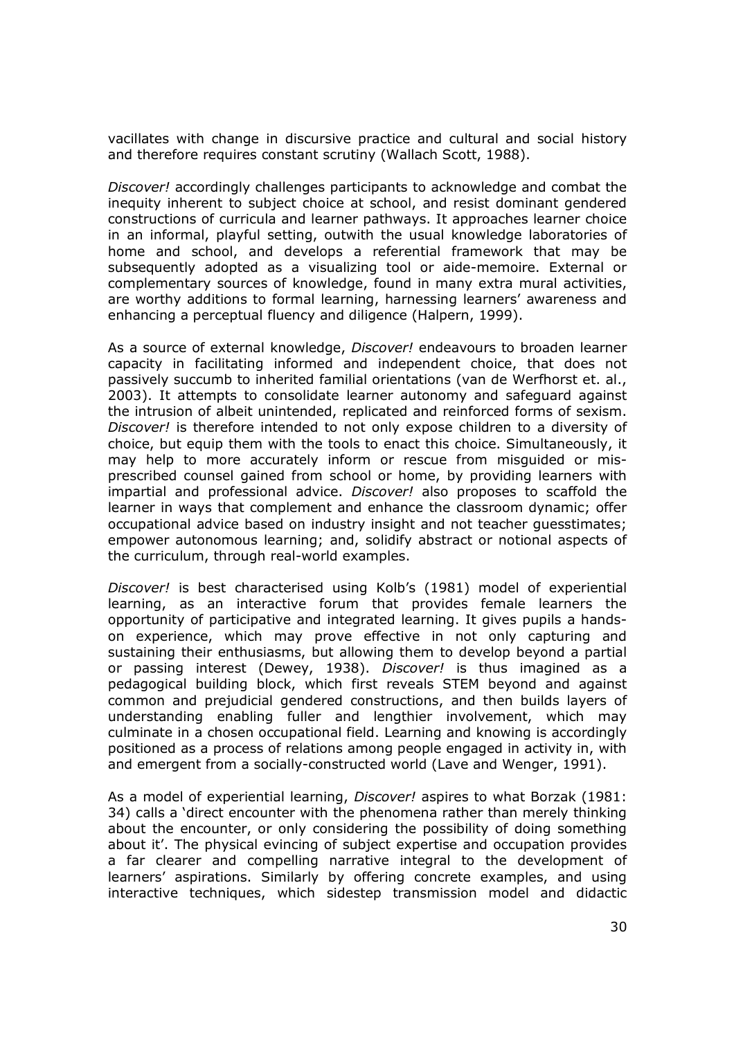vacillates with change in discursive practice and cultural and social history and therefore requires constant scrutiny (Wallach Scott, 1988).

*Discover!* accordingly challenges participants to acknowledge and combat the inequity inherent to subject choice at school, and resist dominant gendered constructions of curricula and learner pathways. It approaches learner choice in an informal, playful setting, outwith the usual knowledge laboratories of home and school, and develops a referential framework that may be subsequently adopted as a visualizing tool or aide-memoire. External or complementary sources of knowledge, found in many extra mural activities, are worthy additions to formal learning, harnessing learners' awareness and enhancing a perceptual fluency and diligence (Halpern, 1999).

As a source of external knowledge, *Discover!* endeavours to broaden learner capacity in facilitating informed and independent choice, that does not passively succumb to inherited familial orientations (van de Werfhorst et. al., 2003). It attempts to consolidate learner autonomy and safeguard against the intrusion of albeit unintended, replicated and reinforced forms of sexism. *Discover!* is therefore intended to not only expose children to a diversity of choice, but equip them with the tools to enact this choice. Simultaneously, it may help to more accurately inform or rescue from misguided or misprescribed counsel gained from school or home, by providing learners with impartial and professional advice. *Discover!* also proposes to scaffold the learner in ways that complement and enhance the classroom dynamic; offer occupational advice based on industry insight and not teacher guesstimates; empower autonomous learning; and, solidify abstract or notional aspects of the curriculum, through real-world examples.

*Discover!* is best characterised using Kolb's (1981) model of experiential learning, as an interactive forum that provides female learners the opportunity of participative and integrated learning. It gives pupils a handson experience, which may prove effective in not only capturing and sustaining their enthusiasms, but allowing them to develop beyond a partial or passing interest (Dewey, 1938). *Discover!* is thus imagined as a pedagogical building block, which first reveals STEM beyond and against common and prejudicial gendered constructions, and then builds layers of understanding enabling fuller and lengthier involvement, which may culminate in a chosen occupational field. Learning and knowing is accordingly positioned as a process of relations among people engaged in activity in, with and emergent from a socially-constructed world (Lave and Wenger, 1991).

As a model of experiential learning, *Discover!* aspires to what Borzak (1981: 34) calls a 'direct encounter with the phenomena rather than merely thinking about the encounter, or only considering the possibility of doing something about it'. The physical evincing of subject expertise and occupation provides a far clearer and compelling narrative integral to the development of learners' aspirations. Similarly by offering concrete examples, and using interactive techniques, which sidestep transmission model and didactic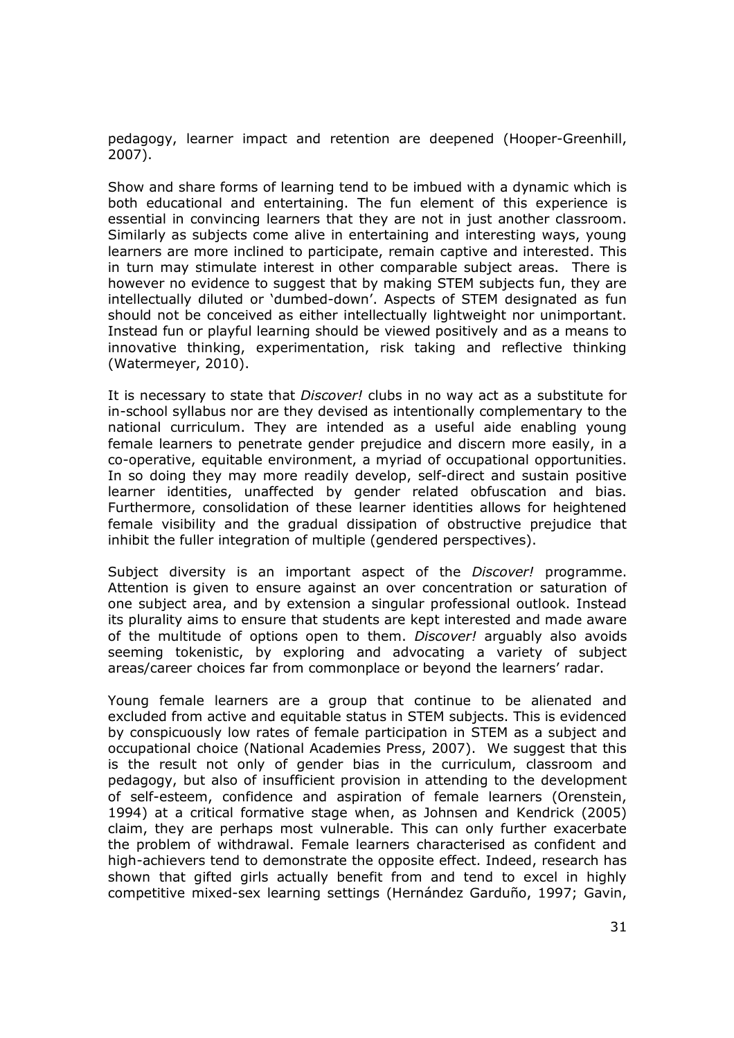pedagogy, learner impact and retention are deepened (Hooper-Greenhill, 2007).

Show and share forms of learning tend to be imbued with a dynamic which is both educational and entertaining. The fun element of this experience is essential in convincing learners that they are not in just another classroom. Similarly as subjects come alive in entertaining and interesting ways, young learners are more inclined to participate, remain captive and interested. This in turn may stimulate interest in other comparable subject areas. There is however no evidence to suggest that by making STEM subjects fun, they are intellectually diluted or 'dumbed-down'. Aspects of STEM designated as fun should not be conceived as either intellectually lightweight nor unimportant. Instead fun or playful learning should be viewed positively and as a means to innovative thinking, experimentation, risk taking and reflective thinking (Watermeyer, 2010).

It is necessary to state that *Discover!* clubs in no way act as a substitute for in-school syllabus nor are they devised as intentionally complementary to the national curriculum. They are intended as a useful aide enabling young female learners to penetrate gender prejudice and discern more easily, in a co-operative, equitable environment, a myriad of occupational opportunities. In so doing they may more readily develop, self-direct and sustain positive learner identities, unaffected by gender related obfuscation and bias. Furthermore, consolidation of these learner identities allows for heightened female visibility and the gradual dissipation of obstructive prejudice that inhibit the fuller integration of multiple (gendered perspectives).

Subject diversity is an important aspect of the *Discover!* programme. Attention is given to ensure against an over concentration or saturation of one subject area, and by extension a singular professional outlook. Instead its plurality aims to ensure that students are kept interested and made aware of the multitude of options open to them. *Discover!* arguably also avoids seeming tokenistic, by exploring and advocating a variety of subject areas/career choices far from commonplace or beyond the learners' radar.

Young female learners are a group that continue to be alienated and excluded from active and equitable status in STEM subjects. This is evidenced by conspicuously low rates of female participation in STEM as a subject and occupational choice (National Academies Press, 2007). We suggest that this is the result not only of gender bias in the curriculum, classroom and pedagogy, but also of insufficient provision in attending to the development of self-esteem, confidence and aspiration of female learners (Orenstein, 1994) at a critical formative stage when, as Johnsen and Kendrick (2005) claim, they are perhaps most vulnerable. This can only further exacerbate the problem of withdrawal. Female learners characterised as confident and high-achievers tend to demonstrate the opposite effect. Indeed, research has shown that gifted girls actually benefit from and tend to excel in highly competitive mixed-sex learning settings (Hernández Garduño, 1997; Gavin,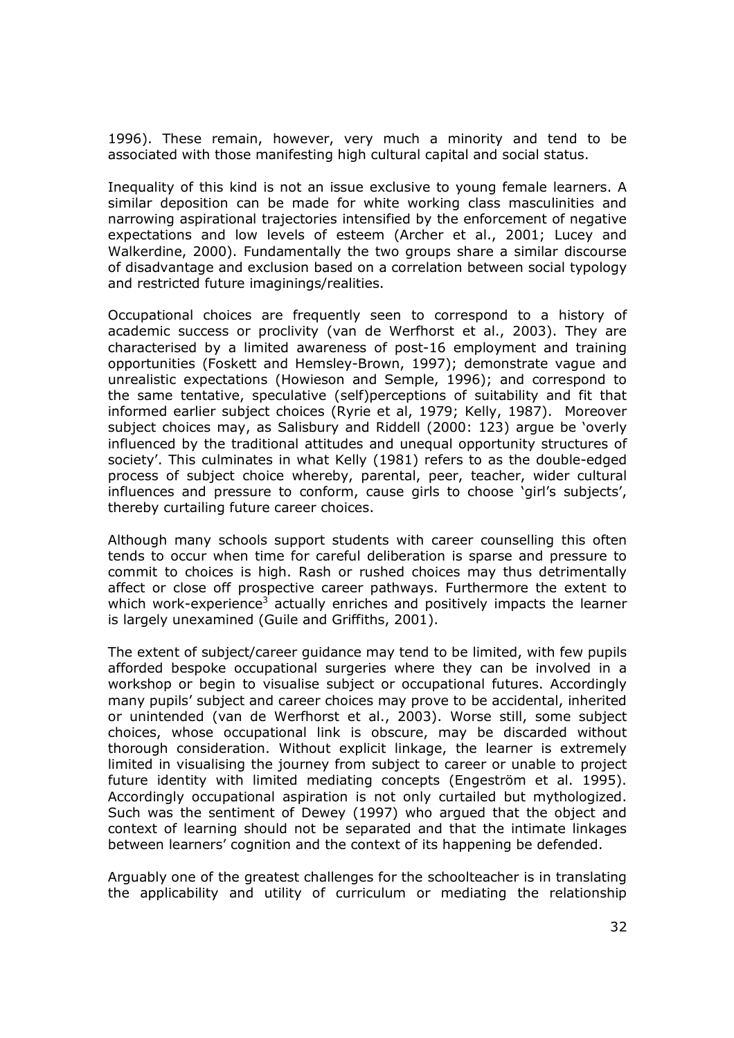1996). These remain, however, very much a minority and tend to be associated with those manifesting high cultural capital and social status.

Inequality of this kind is not an issue exclusive to young female learners. A similar deposition can be made for white working class masculinities and narrowing aspirational trajectories intensified by the enforcement of negative expectations and low levels of esteem (Archer et al., 2001; Lucey and Walkerdine, 2000). Fundamentally the two groups share a similar discourse of disadvantage and exclusion based on a correlation between social typology and restricted future imaginings/realities.

Occupational choices are frequently seen to correspond to a history of academic success or proclivity (van de Werfhorst et al., 2003). They are characterised by a limited awareness of post-16 employment and training opportunities (Foskett and Hemsley-Brown, 1997); demonstrate vague and unrealistic expectations (Howieson and Semple, 1996); and correspond to the same tentative, speculative (self)perceptions of suitability and fit that informed earlier subject choices (Ryrie et al, 1979; Kelly, 1987). Moreover subject choices may, as Salisbury and Riddell (2000: 123) argue be 'overly influenced by the traditional attitudes and unequal opportunity structures of society'. This culminates in what Kelly (1981) refers to as the double-edged process of subject choice whereby, parental, peer, teacher, wider cultural influences and pressure to conform, cause girls to choose 'girl's subjects', thereby curtailing future career choices.

Although many schools support students with career counselling this often tends to occur when time for careful deliberation is sparse and pressure to commit to choices is high. Rash or rushed choices may thus detrimentally affect or close off prospective career pathways. Furthermore the extent to which work-experience<sup>3</sup> actually enriches and positively impacts the learner is largely unexamined (Guile and Griffiths, 2001).

The extent of subject/career guidance may tend to be limited, with few pupils afforded bespoke occupational surgeries where they can be involved in a workshop or begin to visualise subject or occupational futures. Accordingly many pupils' subject and career choices may prove to be accidental, inherited or unintended (van de Werfhorst et al., 2003). Worse still, some subject choices, whose occupational link is obscure, may be discarded without thorough consideration. Without explicit linkage, the learner is extremely limited in visualising the journey from subject to career or unable to project future identity with limited mediating concepts (Engeström et al. 1995). Accordingly occupational aspiration is not only curtailed but mythologized. Such was the sentiment of Dewey (1997) who argued that the object and context of learning should not be separated and that the intimate linkages between learners' cognition and the context of its happening be defended.

Arguably one of the greatest challenges for the schoolteacher is in translating the applicability and utility of curriculum or mediating the relationship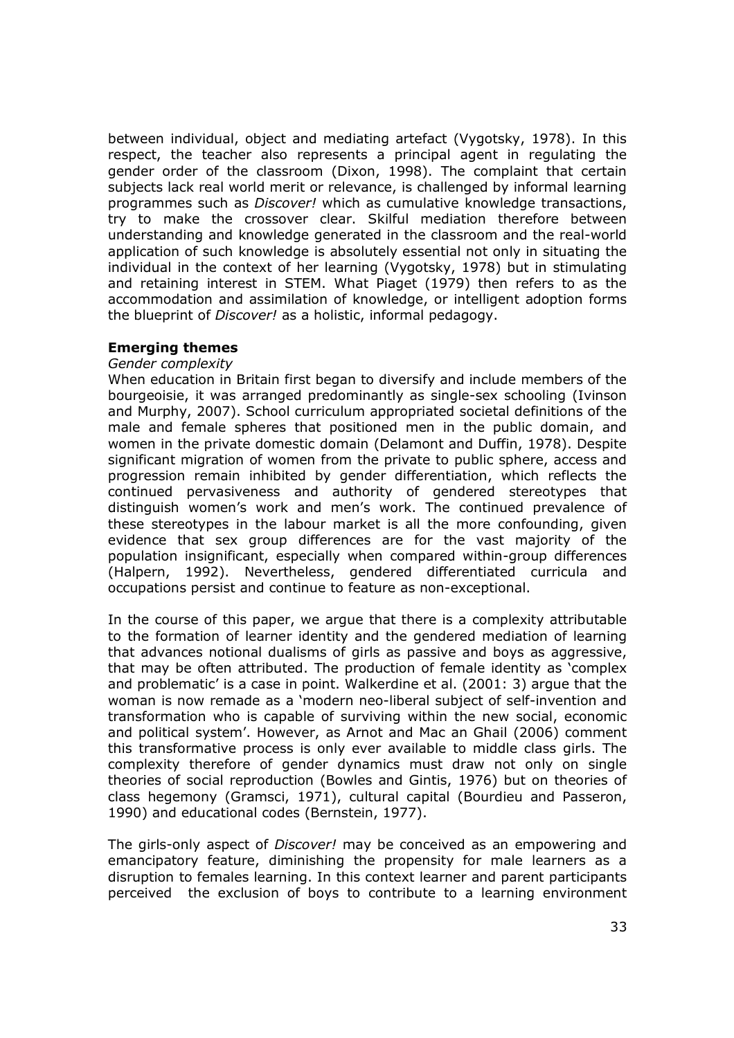between individual, object and mediating artefact (Vygotsky, 1978). In this respect, the teacher also represents a principal agent in regulating the gender order of the classroom (Dixon, 1998). The complaint that certain subjects lack real world merit or relevance, is challenged by informal learning programmes such as *Discover!* which as cumulative knowledge transactions, try to make the crossover clear. Skilful mediation therefore between understanding and knowledge generated in the classroom and the real-world application of such knowledge is absolutely essential not only in situating the individual in the context of her learning (Vygotsky, 1978) but in stimulating and retaining interest in STEM. What Piaget (1979) then refers to as the accommodation and assimilation of knowledge, or intelligent adoption forms the blueprint of *Discover!* as a holistic, informal pedagogy.

## **Emerging themes**

#### *Gender complexity*

When education in Britain first began to diversify and include members of the bourgeoisie, it was arranged predominantly as single-sex schooling (Ivinson and Murphy, 2007). School curriculum appropriated societal definitions of the male and female spheres that positioned men in the public domain, and women in the private domestic domain (Delamont and Duffin, 1978). Despite significant migration of women from the private to public sphere, access and progression remain inhibited by gender differentiation, which reflects the continued pervasiveness and authority of gendered stereotypes that distinguish women's work and men's work. The continued prevalence of these stereotypes in the labour market is all the more confounding, given evidence that sex group differences are for the vast majority of the population insignificant, especially when compared within-group differences (Halpern, 1992). Nevertheless, gendered differentiated curricula and occupations persist and continue to feature as non-exceptional.

In the course of this paper, we argue that there is a complexity attributable to the formation of learner identity and the gendered mediation of learning that advances notional dualisms of girls as passive and boys as aggressive, that may be often attributed. The production of female identity as 'complex and problematic' is a case in point. Walkerdine et al. (2001: 3) argue that the woman is now remade as a 'modern neo-liberal subject of self-invention and transformation who is capable of surviving within the new social, economic and political system'. However, as Arnot and Mac an Ghail (2006) comment this transformative process is only ever available to middle class girls. The complexity therefore of gender dynamics must draw not only on single theories of social reproduction (Bowles and Gintis, 1976) but on theories of class hegemony (Gramsci, 1971), cultural capital (Bourdieu and Passeron, 1990) and educational codes (Bernstein, 1977).

The girls-only aspect of *Discover!* may be conceived as an empowering and emancipatory feature, diminishing the propensity for male learners as a disruption to females learning. In this context learner and parent participants perceived the exclusion of boys to contribute to a learning environment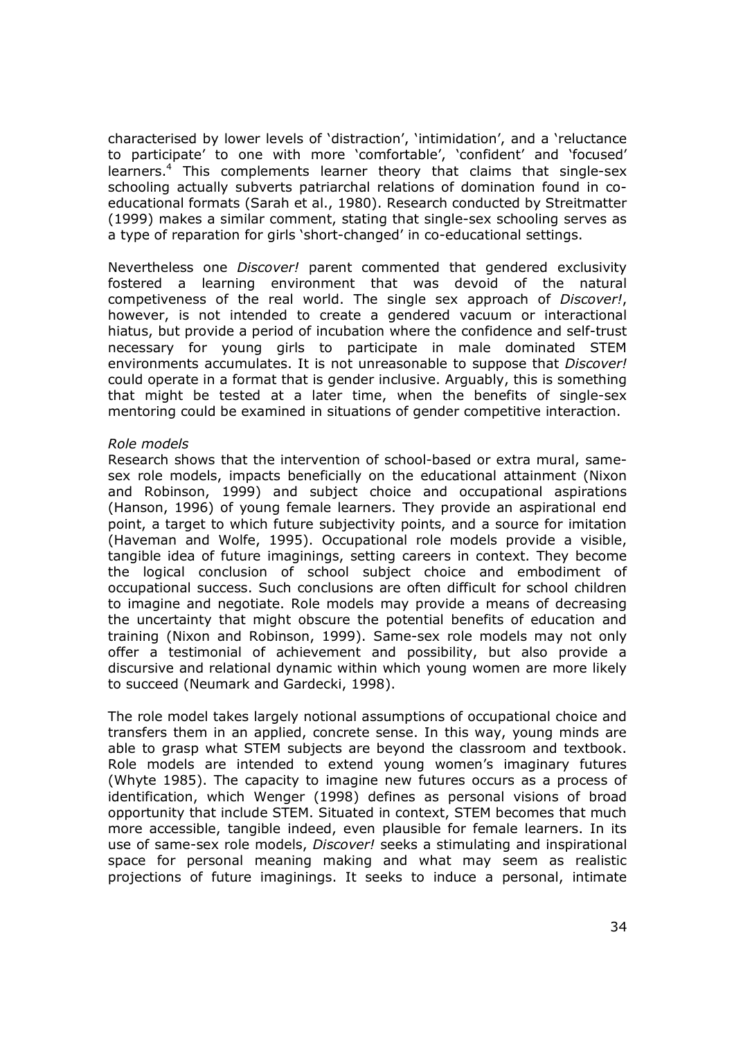characterised by lower levels of 'distraction', 'intimidation', and a 'reluctance to participate' to one with more 'comfortable', 'confident' and 'focused' learners.<sup>4</sup> This complements learner theory that claims that single-sex schooling actually subverts patriarchal relations of domination found in coeducational formats (Sarah et al., 1980). Research conducted by Streitmatter (1999) makes a similar comment, stating that single-sex schooling serves as a type of reparation for girls 'short-changed' in co-educational settings.

Nevertheless one *Discover!* parent commented that gendered exclusivity fostered a learning environment that was devoid of the natural competiveness of the real world. The single sex approach of *Discover!*, however, is not intended to create a gendered vacuum or interactional hiatus, but provide a period of incubation where the confidence and self-trust necessary for young girls to participate in male dominated STEM environments accumulates. It is not unreasonable to suppose that *Discover!* could operate in a format that is gender inclusive. Arguably, this is something that might be tested at a later time, when the benefits of single-sex mentoring could be examined in situations of gender competitive interaction.

#### *Role models*

Research shows that the intervention of school-based or extra mural, samesex role models, impacts beneficially on the educational attainment (Nixon and Robinson, 1999) and subject choice and occupational aspirations (Hanson, 1996) of young female learners. They provide an aspirational end point, a target to which future subjectivity points, and a source for imitation (Haveman and Wolfe, 1995). Occupational role models provide a visible, tangible idea of future imaginings, setting careers in context. They become the logical conclusion of school subject choice and embodiment of occupational success. Such conclusions are often difficult for school children to imagine and negotiate. Role models may provide a means of decreasing the uncertainty that might obscure the potential benefits of education and training (Nixon and Robinson, 1999). Same-sex role models may not only offer a testimonial of achievement and possibility, but also provide a discursive and relational dynamic within which young women are more likely to succeed (Neumark and Gardecki, 1998).

The role model takes largely notional assumptions of occupational choice and transfers them in an applied, concrete sense. In this way, young minds are able to grasp what STEM subjects are beyond the classroom and textbook. Role models are intended to extend young women's imaginary futures (Whyte 1985). The capacity to imagine new futures occurs as a process of identification, which Wenger (1998) defines as personal visions of broad opportunity that include STEM. Situated in context, STEM becomes that much more accessible, tangible indeed, even plausible for female learners. In its use of same-sex role models, *Discover!* seeks a stimulating and inspirational space for personal meaning making and what may seem as realistic projections of future imaginings. It seeks to induce a personal, intimate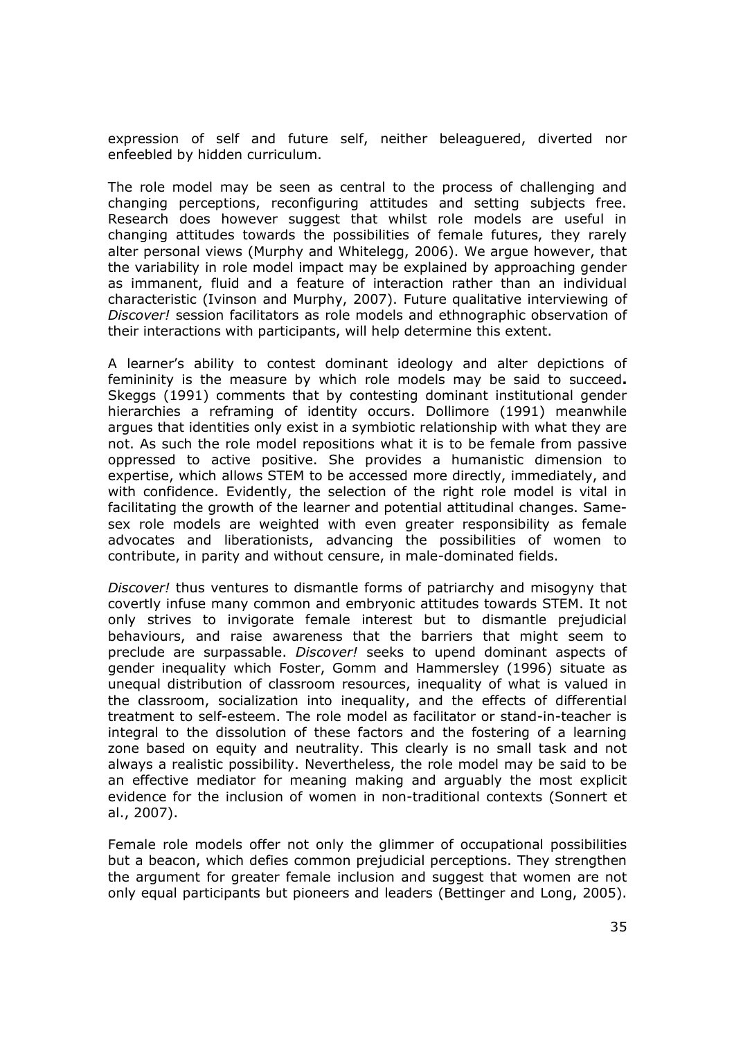expression of self and future self, neither beleaguered, diverted nor enfeebled by hidden curriculum.

The role model may be seen as central to the process of challenging and changing perceptions, reconfiguring attitudes and setting subjects free. Research does however suggest that whilst role models are useful in changing attitudes towards the possibilities of female futures, they rarely alter personal views (Murphy and Whitelegg, 2006). We argue however, that the variability in role model impact may be explained by approaching gender as immanent, fluid and a feature of interaction rather than an individual characteristic (Ivinson and Murphy, 2007). Future qualitative interviewing of *Discover!* session facilitators as role models and ethnographic observation of their interactions with participants, will help determine this extent.

A learner's ability to contest dominant ideology and alter depictions of femininity is the measure by which role models may be said to succeed**.** Skeggs (1991) comments that by contesting dominant institutional gender hierarchies a reframing of identity occurs. Dollimore (1991) meanwhile argues that identities only exist in a symbiotic relationship with what they are not. As such the role model repositions what it is to be female from passive oppressed to active positive. She provides a humanistic dimension to expertise, which allows STEM to be accessed more directly, immediately, and with confidence. Evidently, the selection of the right role model is vital in facilitating the growth of the learner and potential attitudinal changes. Samesex role models are weighted with even greater responsibility as female advocates and liberationists, advancing the possibilities of women to contribute, in parity and without censure, in male-dominated fields.

*Discover!* thus ventures to dismantle forms of patriarchy and misogyny that covertly infuse many common and embryonic attitudes towards STEM. It not only strives to invigorate female interest but to dismantle prejudicial behaviours, and raise awareness that the barriers that might seem to preclude are surpassable. *Discover!* seeks to upend dominant aspects of gender inequality which Foster, Gomm and Hammersley (1996) situate as unequal distribution of classroom resources, inequality of what is valued in the classroom, socialization into inequality, and the effects of differential treatment to self-esteem. The role model as facilitator or stand-in-teacher is integral to the dissolution of these factors and the fostering of a learning zone based on equity and neutrality. This clearly is no small task and not always a realistic possibility. Nevertheless, the role model may be said to be an effective mediator for meaning making and arguably the most explicit evidence for the inclusion of women in non-traditional contexts (Sonnert et al., 2007).

Female role models offer not only the glimmer of occupational possibilities but a beacon, which defies common prejudicial perceptions. They strengthen the argument for greater female inclusion and suggest that women are not only equal participants but pioneers and leaders (Bettinger and Long, 2005).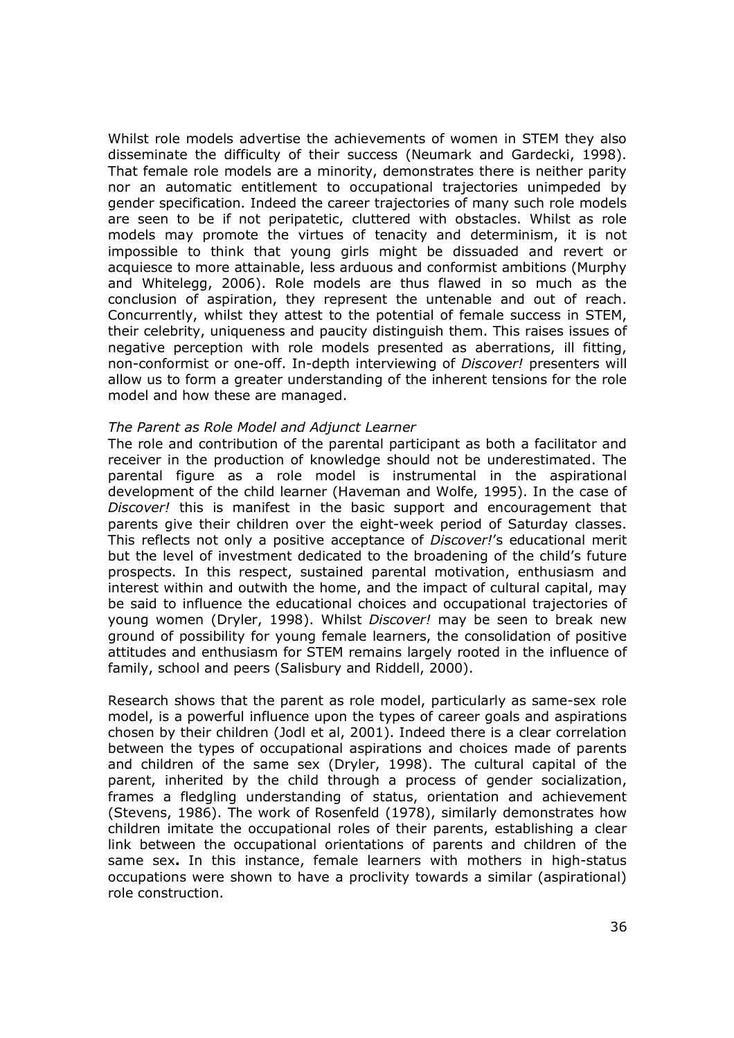Whilst role models advertise the achievements of women in STEM they also disseminate the difficulty of their success (Neumark and Gardecki, 1998). That female role models are a minority, demonstrates there is neither parity nor an automatic entitlement to occupational trajectories unimpeded by gender specification. Indeed the career trajectories of many such role models are seen to be if not peripatetic, cluttered with obstacles. Whilst as role models may promote the virtues of tenacity and determinism, it is not impossible to think that young girls might be dissuaded and revert or acquiesce to more attainable, less arduous and conformist ambitions (Murphy and Whitelegg, 2006). Role models are thus flawed in so much as the conclusion of aspiration, they represent the untenable and out of reach. Concurrently, whilst they attest to the potential of female success in STEM, their celebrity, uniqueness and paucity distinguish them. This raises issues of negative perception with role models presented as aberrations, ill fitting, non-conformist or one-off. In-depth interviewing of *Discover!* presenters will allow us to form a greater understanding of the inherent tensions for the role model and how these are managed.

#### *The Parent as Role Model and Adjunct Learner*

The role and contribution of the parental participant as both a facilitator and receiver in the production of knowledge should not be underestimated. The parental figure as a role model is instrumental in the aspirational development of the child learner (Haveman and Wolfe, 1995). In the case of *Discover!* this is manifest in the basic support and encouragement that parents give their children over the eight-week period of Saturday classes. This reflects not only a positive acceptance of *Discover!*'s educational merit but the level of investment dedicated to the broadening of the child's future prospects. In this respect, sustained parental motivation, enthusiasm and interest within and outwith the home, and the impact of cultural capital, may be said to influence the educational choices and occupational trajectories of young women (Dryler, 1998). Whilst *Discover!* may be seen to break new ground of possibility for young female learners, the consolidation of positive attitudes and enthusiasm for STEM remains largely rooted in the influence of family, school and peers (Salisbury and Riddell, 2000).

Research shows that the parent as role model, particularly as same-sex role model, is a powerful influence upon the types of career goals and aspirations chosen by their children (Jodl et al, 2001). Indeed there is a clear correlation between the types of occupational aspirations and choices made of parents and children of the same sex (Dryler, 1998). The cultural capital of the parent, inherited by the child through a process of gender socialization, frames a fledgling understanding of status, orientation and achievement (Stevens, 1986). The work of Rosenfeld (1978), similarly demonstrates how children imitate the occupational roles of their parents, establishing a clear link between the occupational orientations of parents and children of the same sex**.** In this instance, female learners with mothers in high-status occupations were shown to have a proclivity towards a similar (aspirational) role construction.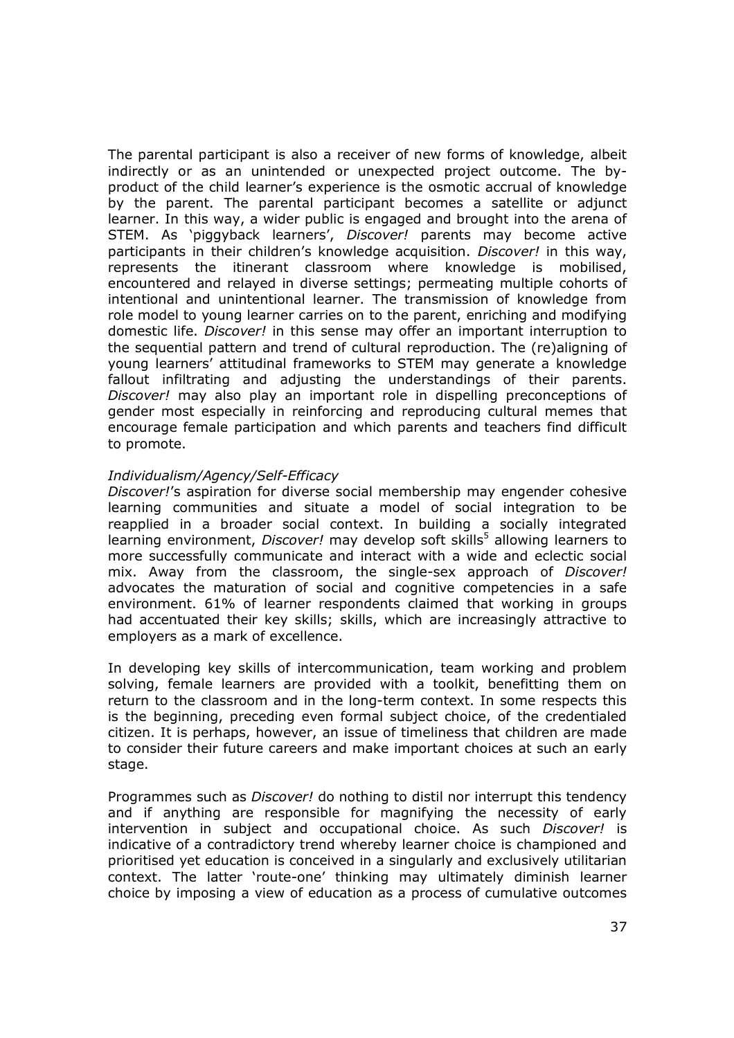The parental participant is also a receiver of new forms of knowledge, albeit indirectly or as an unintended or unexpected project outcome. The byproduct of the child learner's experience is the osmotic accrual of knowledge by the parent. The parental participant becomes a satellite or adjunct learner. In this way, a wider public is engaged and brought into the arena of STEM. As 'piggyback learners', *Discover!* parents may become active participants in their children's knowledge acquisition. *Discover!* in this way, represents the itinerant classroom where knowledge is mobilised, encountered and relayed in diverse settings; permeating multiple cohorts of intentional and unintentional learner. The transmission of knowledge from role model to young learner carries on to the parent, enriching and modifying domestic life. *Discover!* in this sense may offer an important interruption to the sequential pattern and trend of cultural reproduction. The (re)aligning of young learners' attitudinal frameworks to STEM may generate a knowledge fallout infiltrating and adjusting the understandings of their parents. *Discover!* may also play an important role in dispelling preconceptions of gender most especially in reinforcing and reproducing cultural memes that encourage female participation and which parents and teachers find difficult to promote.

#### *Individualism/Agency/Self-Efficacy*

*Discover!*'s aspiration for diverse social membership may engender cohesive learning communities and situate a model of social integration to be reapplied in a broader social context. In building a socially integrated learning environment, *Discover!* may develop soft skills<sup>5</sup> allowing learners to more successfully communicate and interact with a wide and eclectic social mix. Away from the classroom, the single-sex approach of *Discover!* advocates the maturation of social and cognitive competencies in a safe environment. 61% of learner respondents claimed that working in groups had accentuated their key skills; skills, which are increasingly attractive to employers as a mark of excellence.

In developing key skills of intercommunication, team working and problem solving, female learners are provided with a toolkit, benefitting them on return to the classroom and in the long-term context. In some respects this is the beginning, preceding even formal subject choice, of the credentialed citizen. It is perhaps, however, an issue of timeliness that children are made to consider their future careers and make important choices at such an early stage.

Programmes such as *Discover!* do nothing to distil nor interrupt this tendency and if anything are responsible for magnifying the necessity of early intervention in subject and occupational choice. As such *Discover!* is indicative of a contradictory trend whereby learner choice is championed and prioritised yet education is conceived in a singularly and exclusively utilitarian context. The latter 'route-one' thinking may ultimately diminish learner choice by imposing a view of education as a process of cumulative outcomes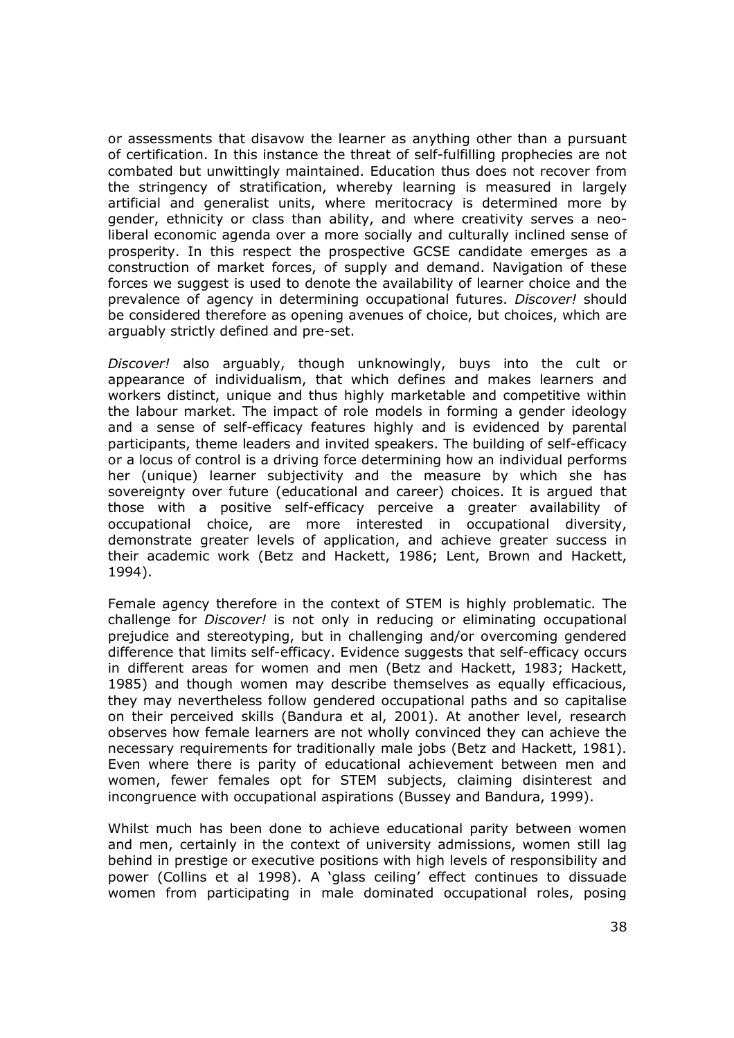or assessments that disavow the learner as anything other than a pursuant of certification. In this instance the threat of self-fulfilling prophecies are not combated but unwittingly maintained. Education thus does not recover from the stringency of stratification, whereby learning is measured in largely artificial and generalist units, where meritocracy is determined more by gender, ethnicity or class than ability, and where creativity serves a neoliberal economic agenda over a more socially and culturally inclined sense of prosperity. In this respect the prospective GCSE candidate emerges as a construction of market forces, of supply and demand. Navigation of these forces we suggest is used to denote the availability of learner choice and the prevalence of agency in determining occupational futures. *Discover!* should be considered therefore as opening avenues of choice, but choices, which are arguably strictly defined and pre-set.

*Discover!* also arguably, though unknowingly, buys into the cult or appearance of individualism, that which defines and makes learners and workers distinct, unique and thus highly marketable and competitive within the labour market. The impact of role models in forming a gender ideology and a sense of self-efficacy features highly and is evidenced by parental participants, theme leaders and invited speakers. The building of self-efficacy or a locus of control is a driving force determining how an individual performs her (unique) learner subjectivity and the measure by which she has sovereignty over future (educational and career) choices. It is argued that those with a positive self-efficacy perceive a greater availability of occupational choice, are more interested in occupational diversity, demonstrate greater levels of application, and achieve greater success in their academic work (Betz and Hackett, 1986; Lent, Brown and Hackett, 1994).

Female agency therefore in the context of STEM is highly problematic. The challenge for *Discover!* is not only in reducing or eliminating occupational prejudice and stereotyping, but in challenging and/or overcoming gendered difference that limits self-efficacy. Evidence suggests that self-efficacy occurs in different areas for women and men (Betz and Hackett, 1983; Hackett, 1985) and though women may describe themselves as equally efficacious, they may nevertheless follow gendered occupational paths and so capitalise on their perceived skills (Bandura et al, 2001). At another level, research observes how female learners are not wholly convinced they can achieve the necessary requirements for traditionally male jobs (Betz and Hackett, 1981). Even where there is parity of educational achievement between men and women, fewer females opt for STEM subjects, claiming disinterest and incongruence with occupational aspirations (Bussey and Bandura, 1999).

Whilst much has been done to achieve educational parity between women and men, certainly in the context of university admissions, women still lag behind in prestige or executive positions with high levels of responsibility and power (Collins et al 1998). A 'glass ceiling' effect continues to dissuade women from participating in male dominated occupational roles, posing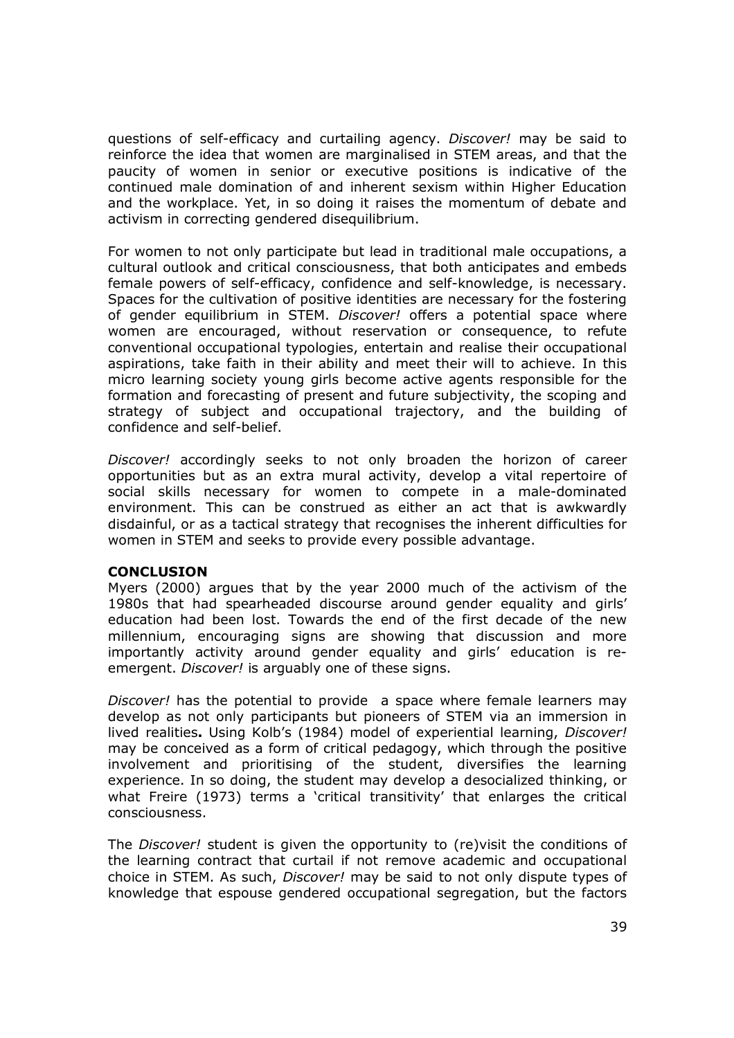questions of self-efficacy and curtailing agency. *Discover!* may be said to reinforce the idea that women are marginalised in STEM areas, and that the paucity of women in senior or executive positions is indicative of the continued male domination of and inherent sexism within Higher Education and the workplace. Yet, in so doing it raises the momentum of debate and activism in correcting gendered disequilibrium.

For women to not only participate but lead in traditional male occupations, a cultural outlook and critical consciousness, that both anticipates and embeds female powers of self-efficacy, confidence and self-knowledge, is necessary. Spaces for the cultivation of positive identities are necessary for the fostering of gender equilibrium in STEM. *Discover!* offers a potential space where women are encouraged, without reservation or consequence, to refute conventional occupational typologies, entertain and realise their occupational aspirations, take faith in their ability and meet their will to achieve. In this micro learning society young girls become active agents responsible for the formation and forecasting of present and future subjectivity, the scoping and strategy of subject and occupational trajectory, and the building of confidence and self-belief.

*Discover!* accordingly seeks to not only broaden the horizon of career opportunities but as an extra mural activity, develop a vital repertoire of social skills necessary for women to compete in a male-dominated environment. This can be construed as either an act that is awkwardly disdainful, or as a tactical strategy that recognises the inherent difficulties for women in STEM and seeks to provide every possible advantage.

## **CONCLUSION**

Myers (2000) argues that by the year 2000 much of the activism of the 1980s that had spearheaded discourse around gender equality and girls' education had been lost. Towards the end of the first decade of the new millennium, encouraging signs are showing that discussion and more importantly activity around gender equality and girls' education is reemergent. *Discover!* is arguably one of these signs.

*Discover!* has the potential to provide a space where female learners may develop as not only participants but pioneers of STEM via an immersion in lived realities**.** Using Kolb's (1984) model of experiential learning, *Discover!* may be conceived as a form of critical pedagogy, which through the positive involvement and prioritising of the student, diversifies the learning experience. In so doing, the student may develop a desocialized thinking, or what Freire (1973) terms a 'critical transitivity' that enlarges the critical consciousness.

The *Discover!* student is given the opportunity to (re)visit the conditions of the learning contract that curtail if not remove academic and occupational choice in STEM. As such, *Discover!* may be said to not only dispute types of knowledge that espouse gendered occupational segregation, but the factors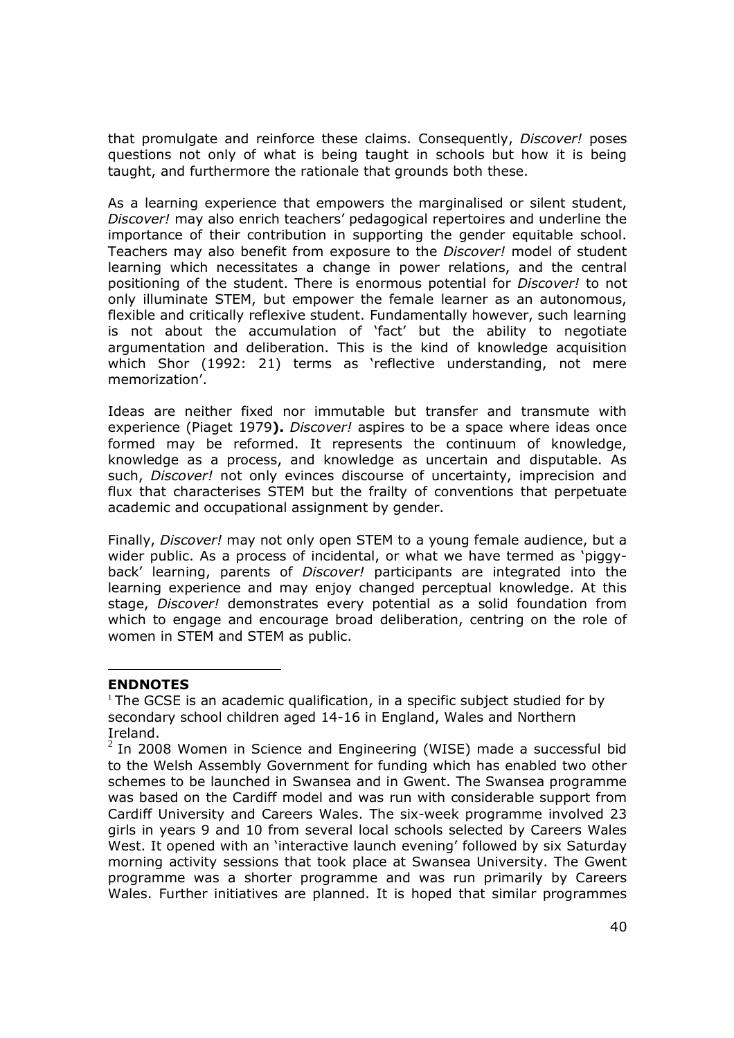that promulgate and reinforce these claims. Consequently, *Discover!* poses questions not only of what is being taught in schools but how it is being taught, and furthermore the rationale that grounds both these.

As a learning experience that empowers the marginalised or silent student, *Discover!* may also enrich teachers' pedagogical repertoires and underline the importance of their contribution in supporting the gender equitable school. Teachers may also benefit from exposure to the *Discover!* model of student learning which necessitates a change in power relations, and the central positioning of the student. There is enormous potential for *Discover!* to not only illuminate STEM, but empower the female learner as an autonomous, flexible and critically reflexive student. Fundamentally however, such learning is not about the accumulation of 'fact' but the ability to negotiate argumentation and deliberation. This is the kind of knowledge acquisition which Shor (1992: 21) terms as 'reflective understanding, not mere memorization'.

Ideas are neither fixed nor immutable but transfer and transmute with experience (Piaget 1979**).** *Discover!* aspires to be a space where ideas once formed may be reformed. It represents the continuum of knowledge, knowledge as a process, and knowledge as uncertain and disputable. As such, *Discover!* not only evinces discourse of uncertainty, imprecision and flux that characterises STEM but the frailty of conventions that perpetuate academic and occupational assignment by gender.

Finally, *Discover!* may not only open STEM to a young female audience, but a wider public. As a process of incidental, or what we have termed as 'piggyback' learning, parents of *Discover!* participants are integrated into the learning experience and may enjoy changed perceptual knowledge. At this stage, *Discover!* demonstrates every potential as a solid foundation from which to engage and encourage broad deliberation, centring on the role of women in STEM and STEM as public.

## **ENDNOTES**

 $1$  The GCSE is an academic qualification, in a specific subject studied for by secondary school children aged 14-16 in England, Wales and Northern Ireland.

 $^2$  In 2008 Women in Science and Engineering (WISE) made a successful bid to the Welsh Assembly Government for funding which has enabled two other schemes to be launched in Swansea and in Gwent. The Swansea programme was based on the Cardiff model and was run with considerable support from Cardiff University and Careers Wales. The six-week programme involved 23 girls in years 9 and 10 from several local schools selected by Careers Wales West. It opened with an 'interactive launch evening' followed by six Saturday morning activity sessions that took place at Swansea University. The Gwent programme was a shorter programme and was run primarily by Careers Wales. Further initiatives are planned. It is hoped that similar programmes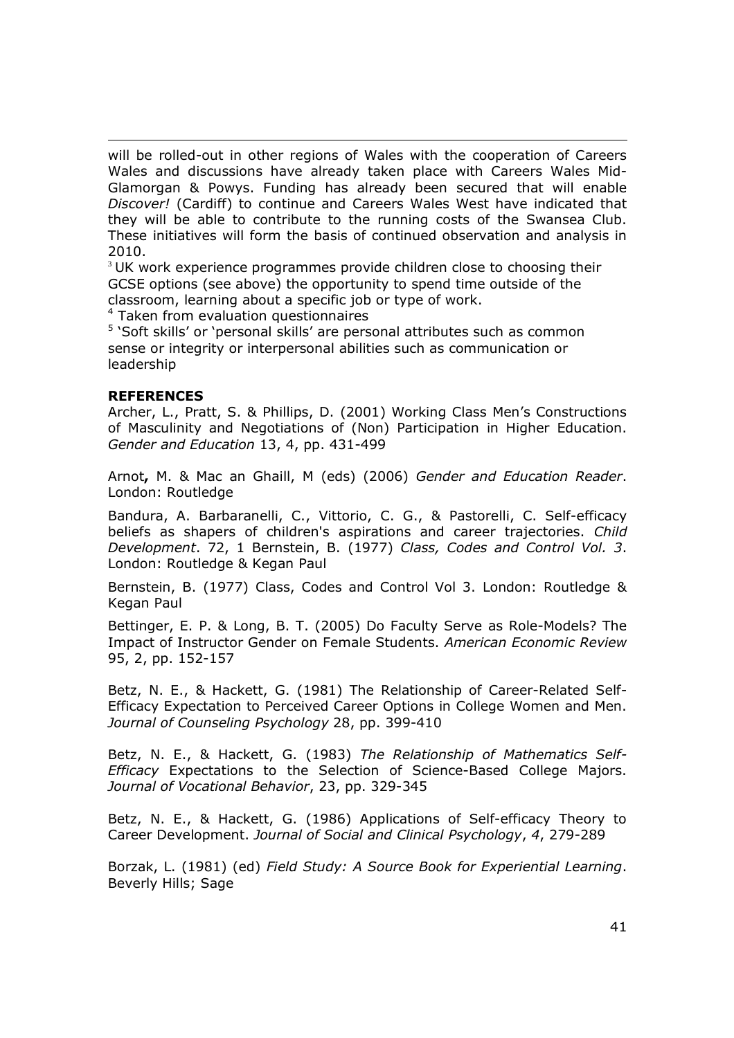will be rolled-out in other regions of Wales with the cooperation of Careers Wales and discussions have already taken place with Careers Wales Mid-Glamorgan & Powys. Funding has already been secured that will enable *Discover!* (Cardiff) to continue and Careers Wales West have indicated that they will be able to contribute to the running costs of the Swansea Club. These initiatives will form the basis of continued observation and analysis in 2010.

 $3$  UK work experience programmes provide children close to choosing their GCSE options (see above) the opportunity to spend time outside of the classroom, learning about a specific job or type of work.

<sup>4</sup> Taken from evaluation questionnaires

<sup>5</sup> 'Soft skills' or 'personal skills' are personal attributes such as common sense or integrity or interpersonal abilities such as communication or leadership

#### **REFERENCES**

Archer, L., Pratt, S. & Phillips, D. (2001) Working Class Men's Constructions of Masculinity and Negotiations of (Non) Participation in Higher Education. *Gender and Education* 13, 4, pp. 431-499

Arnot**,** M. & Mac an Ghaill, M (eds) (2006) *Gender and Education Reader*. London: Routledge

Bandura, A. Barbaranelli, C., Vittorio, C. G., & Pastorelli, C. Self-efficacy beliefs as shapers of children's aspirations and career trajectories. *Child Development*. 72, 1 Bernstein, B. (1977) *Class, Codes and Control Vol. 3*. London: Routledge & Kegan Paul

Bernstein, B. (1977) Class, Codes and Control Vol 3. London: Routledge & Kegan Paul

Bettinger, E. P. & Long, B. T. (2005) Do Faculty Serve as Role-Models? The Impact of Instructor Gender on Female Students. *American Economic Review* 95, 2, pp. 152-157

Betz, N. E., & Hackett, G. (1981) The Relationship of Career-Related Self-Efficacy Expectation to Perceived Career Options in College Women and Men. *Journal of Counseling Psychology* 28, pp. 399-410

Betz, N. E., & Hackett, G. (1983) *The Relationship of Mathematics Self-Efficacy* Expectations to the Selection of Science-Based College Majors. *Journal of Vocational Behavior*, 23, pp. 329-345

Betz, N. E., & Hackett, G. (1986) Applications of Self-efficacy Theory to Career Development. *Journal of Social and Clinical Psychology*, *4*, 279-289

Borzak, L. (1981) (ed) *Field Study: A Source Book for Experiential Learning*. Beverly Hills; Sage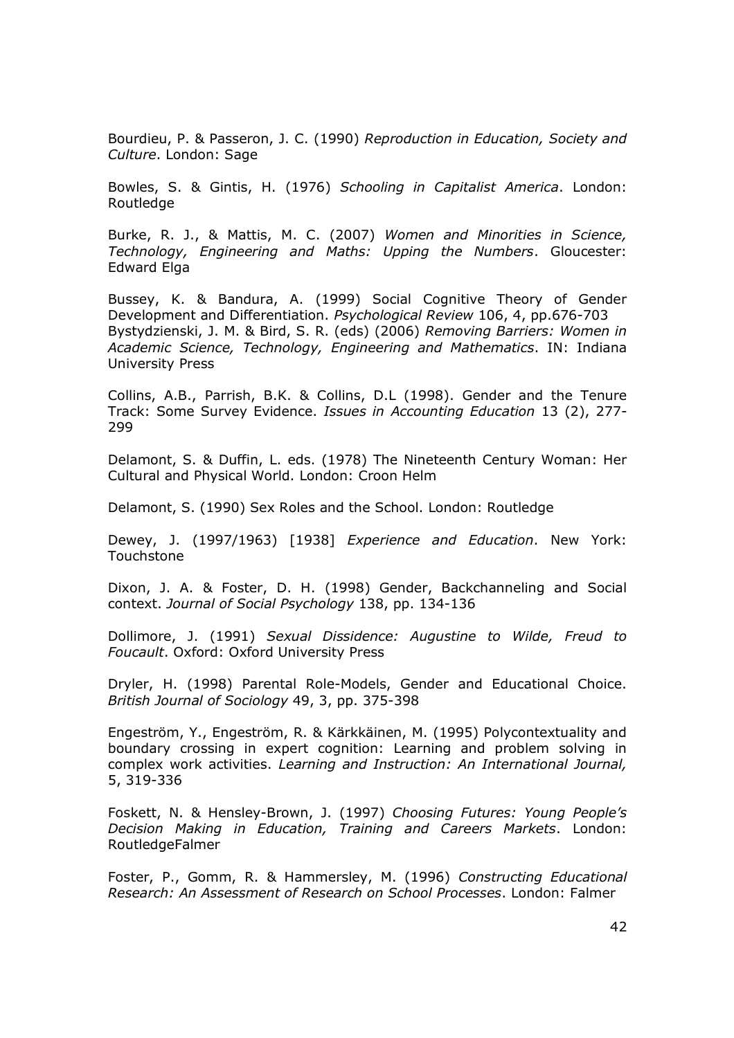Bourdieu, P. & Passeron, J. C. (1990) *Reproduction in Education, Society and Culture*. London: Sage

Bowles, S. & Gintis, H. (1976) *Schooling in Capitalist America*. London: Routledge

Burke, R. J., & Mattis, M. C. (2007) *Women and Minorities in Science, Technology, Engineering and Maths: Upping the Numbers*. Gloucester: Edward Elga

Bussey, K. & Bandura, A. (1999) Social Cognitive Theory of Gender Development and Differentiation. *Psychological Review* 106, 4, pp.676-703 Bystydzienski, J. M. & Bird, S. R. (eds) (2006) *Removing Barriers: Women in Academic Science, Technology, Engineering and Mathematics*. IN: Indiana University Press

Collins, A.B., Parrish, B.K. & Collins, D.L (1998). Gender and the Tenure Track: Some Survey Evidence. *Issues in Accounting Education* 13 (2), 277- 299

Delamont, S. & Duffin, L. eds. (1978) The Nineteenth Century Woman: Her Cultural and Physical World. London: Croon Helm

Delamont, S. (1990) Sex Roles and the School. London: Routledge

Dewey, J. (1997/1963) [1938] *Experience and Education*. New York: Touchstone

Dixon, J. A. & Foster, D. H. (1998) Gender, Backchanneling and Social context. *Journal of Social Psychology* 138, pp. 134-136

Dollimore, J. (1991) *Sexual Dissidence: Augustine to Wilde, Freud to Foucault*. Oxford: Oxford University Press

Dryler, H. (1998) Parental Role-Models, Gender and Educational Choice. *British Journal of Sociology* 49, 3, pp. 375-398

Engeström, Y., Engeström, R. & Kärkkäinen, M. (1995) Polycontextuality and boundary crossing in expert cognition: Learning and problem solving in complex work activities. *Learning and Instruction: An International Journal,* 5, 319-336

Foskett, N. & Hensley-Brown, J. (1997) *Choosing Futures: Young People's Decision Making in Education, Training and Careers Markets*. London: RoutledgeFalmer

Foster, P., Gomm, R. & Hammersley, M. (1996) *Constructing Educational Research: An Assessment of Research on School Processes*. London: Falmer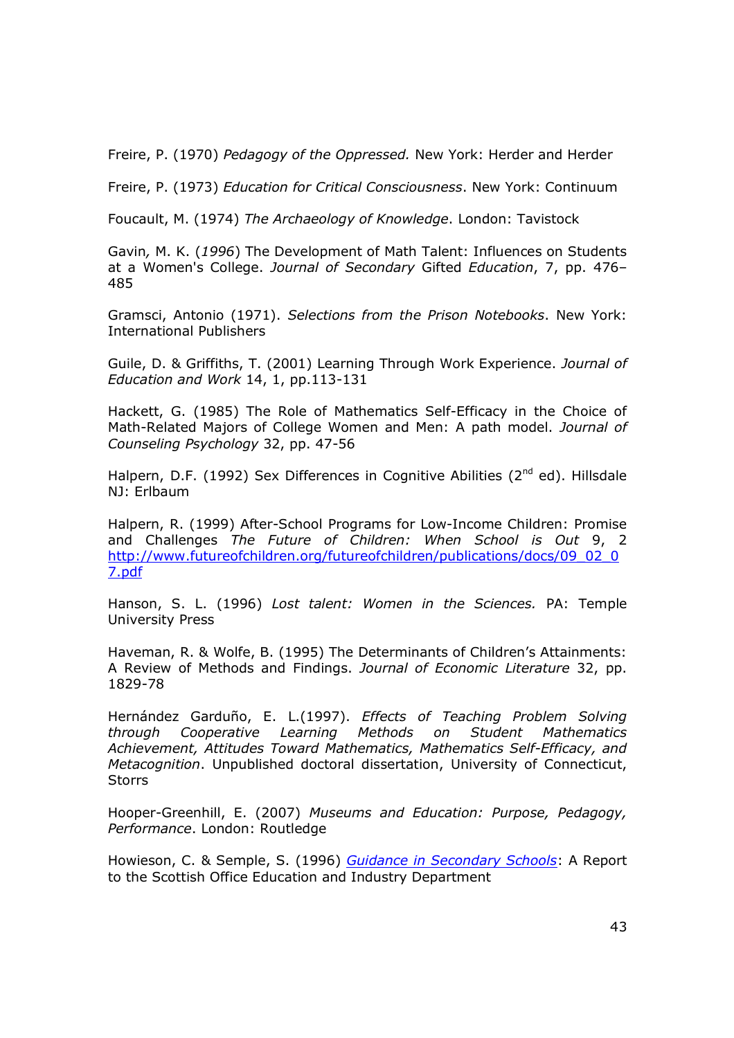Freire, P. (1970) *Pedagogy of the Oppressed.* New York: Herder and Herder

Freire, P. (1973) *Education for Critical Consciousness*. New York: Continuum

Foucault, M. (1974) *The Archaeology of Knowledge*. London: Tavistock

Gavin*,* M. K. (*1996*) The Development of Math Talent: Influences on Students at a Women's College. *Journal of Secondary* Gifted *Education*, 7, pp. 476– 485

Gramsci, Antonio (1971). *Selections from the Prison Notebooks*. New York: International Publishers

Guile, D. & Griffiths, T. (2001) Learning Through Work Experience. *Journal of Education and Work* 14, 1, pp.113-131

Hackett, G. (1985) The Role of Mathematics Self-Efficacy in the Choice of Math-Related Majors of College Women and Men: A path model. *Journal of Counseling Psychology* 32, pp. 47-56

Halpern, D.F. (1992) Sex Differences in Cognitive Abilities ( $2^{nd}$  ed). Hillsdale NJ: Erlbaum

Halpern, R. (1999) After-School Programs for Low-Income Children: Promise and Challenges *The Future of Children: When School is Out* 9, 2 http://www.futureofchildren.org/futureofchildren/publications/docs/09\_02\_0 7.pdf

Hanson, S. L. (1996) *Lost talent: Women in the Sciences.* PA: Temple University Press

Haveman, R. & Wolfe, B. (1995) The Determinants of Children's Attainments: A Review of Methods and Findings. *Journal of Economic Literature* 32, pp. 1829-78

Hernández Garduño, E. L.(1997). *Effects of Teaching Problem Solving through Cooperative Learning Methods on Student Mathematics Achievement, Attitudes Toward Mathematics, Mathematics Self-Efficacy, and Metacognition*. Unpublished doctoral dissertation, University of Connecticut, **Storrs** 

Hooper-Greenhill, E. (2007) *Museums and Education: Purpose, Pedagogy, Performance*. London: Routledge

Howieson, C. & Semple, S. (1996) *Guidance in Secondary Schools*: A Report to the Scottish Office Education and Industry Department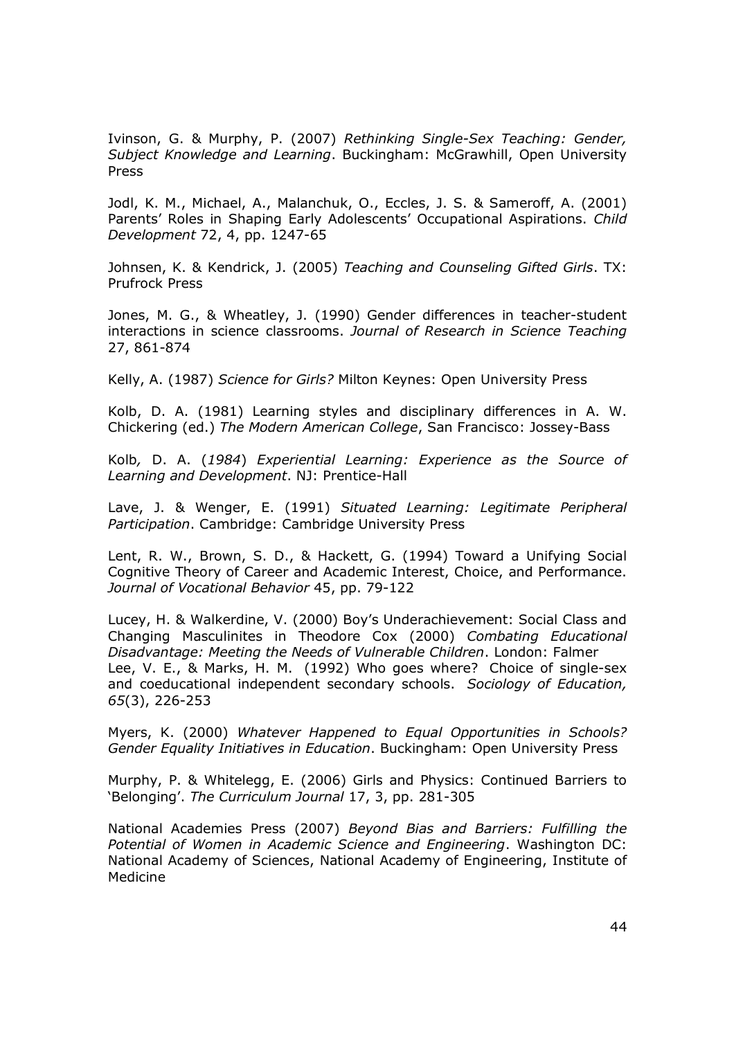Ivinson, G. & Murphy, P. (2007) *Rethinking Single-Sex Teaching: Gender, Subject Knowledge and Learning*. Buckingham: McGrawhill, Open University Press

Jodl, K. M., Michael, A., Malanchuk, O., Eccles, J. S. & Sameroff, A. (2001) Parents' Roles in Shaping Early Adolescents' Occupational Aspirations. *Child Development* 72, 4, pp. 1247-65

Johnsen, K. & Kendrick, J. (2005) *Teaching and Counseling Gifted Girls*. TX: Prufrock Press

Jones, M. G., & Wheatley, J. (1990) Gender differences in teacher-student interactions in science classrooms. *Journal of Research in Science Teaching* 27, 861-874

Kelly, A. (1987) *Science for Girls?* Milton Keynes: Open University Press

Kolb, D. A. (1981) Learning styles and disciplinary differences in A. W. Chickering (ed.) *The Modern American College*, San Francisco: Jossey-Bass

Kolb*,* D. A. (*1984*) *Experiential Learning: Experience as the Source of Learning and Development*. NJ: Prentice-Hall

Lave, J. & Wenger, E. (1991) *Situated Learning: Legitimate Peripheral Participation*. Cambridge: Cambridge University Press

Lent, R. W., Brown, S. D., & Hackett, G. (1994) Toward a Unifying Social Cognitive Theory of Career and Academic Interest, Choice, and Performance. *Journal of Vocational Behavior* 45, pp. 79-122

Lucey, H. & Walkerdine, V. (2000) Boy's Underachievement: Social Class and Changing Masculinites in Theodore Cox (2000) *Combating Educational Disadvantage: Meeting the Needs of Vulnerable Children*. London: Falmer Lee, V. E., & Marks, H. M. (1992) Who goes where? Choice of single-sex and coeducational independent secondary schools. *Sociology of Education, 65*(3), 226-253

Myers, K. (2000) *Whatever Happened to Equal Opportunities in Schools? Gender Equality Initiatives in Education*. Buckingham: Open University Press

Murphy, P. & Whitelegg, E. (2006) Girls and Physics: Continued Barriers to 'Belonging'. *The Curriculum Journal* 17, 3, pp. 281-305

National Academies Press (2007) *Beyond Bias and Barriers: Fulfilling the Potential of Women in Academic Science and Engineering*. Washington DC: National Academy of Sciences, National Academy of Engineering, Institute of Medicine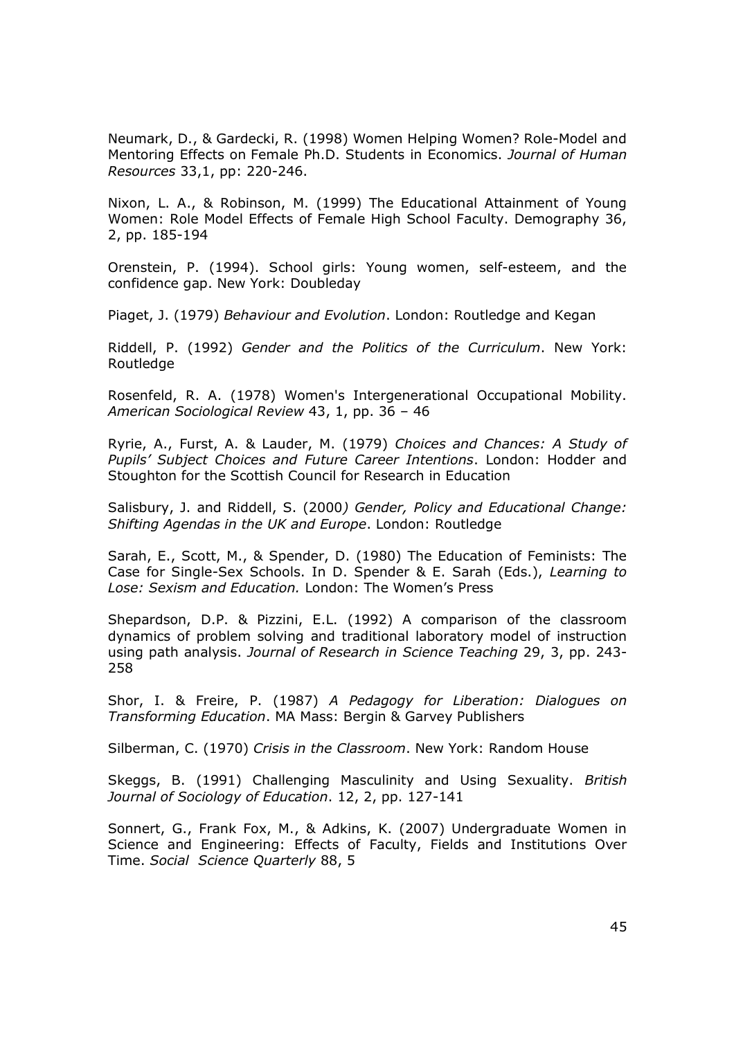Neumark, D., & Gardecki, R. (1998) Women Helping Women? Role-Model and Mentoring Effects on Female Ph.D. Students in Economics. *Journal of Human Resources* 33,1, pp: 220-246.

Nixon, L. A., & Robinson, M. (1999) The Educational Attainment of Young Women: Role Model Effects of Female High School Faculty. Demography 36, 2, pp. 185-194

Orenstein, P. (1994). School girls: Young women, self-esteem, and the confidence gap. New York: Doubleday

Piaget, J. (1979) *Behaviour and Evolution*. London: Routledge and Kegan

Riddell, P. (1992) *Gender and the Politics of the Curriculum*. New York: Routledge

Rosenfeld, R. A. (1978) Women's Intergenerational Occupational Mobility. *American Sociological Review* 43, 1, pp. 36 – 46

Ryrie, A., Furst, A. & Lauder, M. (1979) *Choices and Chances: A Study of Pupils' Subject Choices and Future Career Intentions*. London: Hodder and Stoughton for the Scottish Council for Research in Education

Salisbury, J. and Riddell, S. (2000*) Gender, Policy and Educational Change: Shifting Agendas in the UK and Europe*. London: Routledge

Sarah, E., Scott, M., & Spender, D. (1980) The Education of Feminists: The Case for Single-Sex Schools. In D. Spender & E. Sarah (Eds.), *Learning to Lose: Sexism and Education.* London: The Women's Press

Shepardson, D.P. & Pizzini, E.L. (1992) A comparison of the classroom dynamics of problem solving and traditional laboratory model of instruction using path analysis. *Journal of Research in Science Teaching* 29, 3, pp. 243- 258

Shor, I. & Freire, P. (1987) *A Pedagogy for Liberation: Dialogues on Transforming Education*. MA Mass: Bergin & Garvey Publishers

Silberman, C. (1970) *Crisis in the Classroom*. New York: Random House

Skeggs, B. (1991) Challenging Masculinity and Using Sexuality. *British Journal of Sociology of Education*. 12, 2, pp. 127-141

Sonnert, G., Frank Fox, M., & Adkins, K. (2007) Undergraduate Women in Science and Engineering: Effects of Faculty, Fields and Institutions Over Time. *Social Science Quarterly* 88, 5